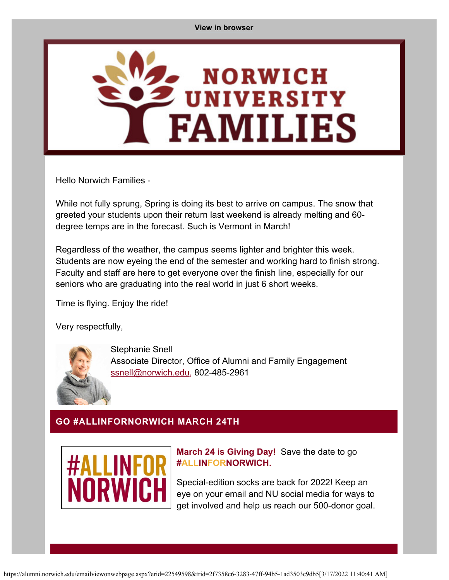<span id="page-0-0"></span>

Hello Norwich Families -

While not fully sprung, Spring is doing its best to arrive on campus. The snow that greeted your students upon their return last weekend is already melting and 60 degree temps are in the forecast. Such is Vermont in March!

Regardless of the weather, the campus seems lighter and brighter this week. Students are now eyeing the end of the semester and working hard to finish strong. Faculty and staff are here to get everyone over the finish line, especially for our seniors who are graduating into the real world in just 6 short weeks.

Time is flying. Enjoy the ride!

Very respectfully,



Stephanie Snell Associate Director, Office of Alumni and Family Engagement [ssnell@norwich.edu](mailto:ssnell@norwich.edu), 802-485-2961

# **GO #ALLINFORNORWICH MARCH 24TH**



**March 24 is Giving Day!** Save the date to go **#ALLINFORNORWICH.**

Special-edition socks are back for 2022! Keep an eye on your email and NU social media for ways to get involved and help us reach our 500-donor goal.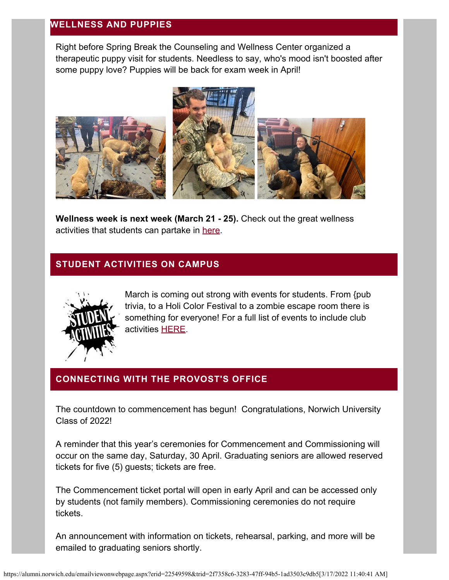#### **WELLNESS AND PUPPIES**

Right before Spring Break the Counseling and Wellness Center organized a therapeutic puppy visit for students. Needless to say, who's mood isn't boosted after some puppy love? Puppies will be back for exam week in April!



**Wellness week is next week (March 21 - 25).** Check out the great wellness activities that students can partake in [here](https://alumni.norwich.edu/page.redir?target=https%3a%2f%2fnorwich0-my.sharepoint.com%2f%3aw%3a%2fg%2fpersonal%2fmmarcel2_norwich_edu%2fETDJyfcaQbJOsNdQOEb3S-0BtSJHdsD9vseIOlbhH_igsg%3fe%3d4%253AbwjvUw%26amp%3bat%3d9&srcid=158376&srctid=1&erid=22549598&trid=2f7358c6-3283-47ff-94b5-1ad3503c9db5).

## **STUDENT ACTIVITIES ON CAMPUS**



March is coming out strong with events for students. From {pub trivia, to a Holi Color Festival to a zombie escape room there is something for everyone! For a full list of events to include club activities [HERE](https://alumni.norwich.edu/page.redir?target=https%3a%2f%2fnorwich.campuslabs.com%2fengage%2fevents&srcid=158376&srctid=1&erid=22549598&trid=2f7358c6-3283-47ff-94b5-1ad3503c9db5).

## **CONNECTING WITH THE PROVOST'S OFFICE**

The countdown to commencement has begun! Congratulations, Norwich University Class of 2022!

A reminder that this year's ceremonies for Commencement and Commissioning will occur on the same day, Saturday, 30 April. Graduating seniors are allowed reserved tickets for five (5) guests; tickets are free.

The Commencement ticket portal will open in early April and can be accessed only by students (not family members). Commissioning ceremonies do not require tickets.

An announcement with information on tickets, rehearsal, parking, and more will be emailed to graduating seniors shortly.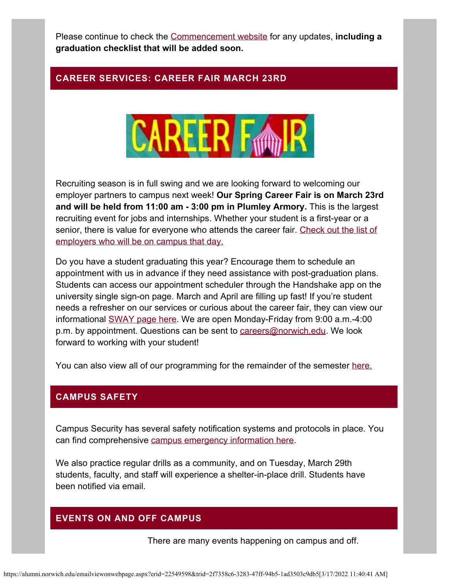Please continue to check the [Commencement website](https://alumni.norwich.edu/page.redir?target=https%3a%2f%2fwww.norwich.edu%2fcommencement&srcid=158376&srctid=1&erid=22549598&trid=2f7358c6-3283-47ff-94b5-1ad3503c9db5) for any updates, **including a graduation checklist that will be added soon.**

### **CAREER SERVICES: CAREER FAIR MARCH 23RD**



Recruiting season is in full swing and we are looking forward to welcoming our employer partners to campus next week! **Our Spring Career Fair is on March 23rd and will be held from 11:00 am - 3:00 pm in Plumley Armory.** This is the largest recruiting event for jobs and internships. Whether your student is a first-year or a senior, there is value for everyone who attends the career fair. [Check out the list of](https://alumni.norwich.edu/page.redir?target=https%3a%2f%2fsway.office.com%2f8c1akQLVwQZGGUGr%3fref%3dLink%26amp%3bamp%3bloc%3dplay&srcid=158376&srctid=1&erid=22549598&trid=2f7358c6-3283-47ff-94b5-1ad3503c9db5) [employers who will be on campus that day.](https://alumni.norwich.edu/page.redir?target=https%3a%2f%2fsway.office.com%2f8c1akQLVwQZGGUGr%3fref%3dLink%26amp%3bamp%3bloc%3dplay&srcid=158376&srctid=1&erid=22549598&trid=2f7358c6-3283-47ff-94b5-1ad3503c9db5)

Do you have a student graduating this year? Encourage them to schedule an appointment with us in advance if they need assistance with post-graduation plans. Students can access our appointment scheduler through the Handshake app on the university single sign-on page. March and April are filling up fast! If you're student needs a refresher on our services or curious about the career fair, they can view our informational [SWAY page here](https://alumni.norwich.edu/page.redir?target=https%3a%2f%2fsway.office.com%2fCc7Jkf6rO2GPw2qP%3fref%3dLink&srcid=158376&srctid=1&erid=22549598&trid=2f7358c6-3283-47ff-94b5-1ad3503c9db5). We are open Monday-Friday from 9:00 a.m.-4:00 p.m. by appointment. Questions can be sent to [careers@norwich.edu](mailto:%20careers@norwich.edu). We look forward to working with your student!

You can also view all of our programming for the remainder of the semester [here.](https://alumni.norwich.edu/page.redir?target=https%3a%2f%2fnorwich0-my.sharepoint.com%2fpersonal%2fkcollin2_norwich_edu%2f_layouts%2f15%2fonedrive.aspx%3fid%3d%252Fpersonal%252Fkcollin2%255Fnorwich%255Fedu%252FDocuments%252FCareer%2520and%2520Internship%2520Center%252FMedia%2520and%2520Marketing%252FGraphics%255FPosters%252FSpring%25202022%2520Graphics%252Fparent%252Epdf%26amp%3bparent%3d%252Fpersonal%252Fkcollin2%255Fnorwich%255Fedu%252FDocuments%252FCareer%2520and%2520Internship%2520Center%252FMedia%2520and%2520Marketing%252FGraphics%255FPosters%252FSpring%25202022%2520Graphics&srcid=158376&srctid=1&erid=22549598&trid=2f7358c6-3283-47ff-94b5-1ad3503c9db5)

#### **CAMPUS SAFETY**

Campus Security has several safety notification systems and protocols in place. You can find comprehensive [campus emergency information here](https://alumni.norwich.edu/page.redir?target=https%3a%2f%2fwww.norwich.edu%2femergency&srcid=158376&srctid=1&erid=22549598&trid=2f7358c6-3283-47ff-94b5-1ad3503c9db5).

We also practice regular drills as a community, and on Tuesday, March 29th students, faculty, and staff will experience a shelter-in-place drill. Students have been notified via email.

#### **EVENTS ON AND OFF CAMPUS**

There are many events happening on campus and off.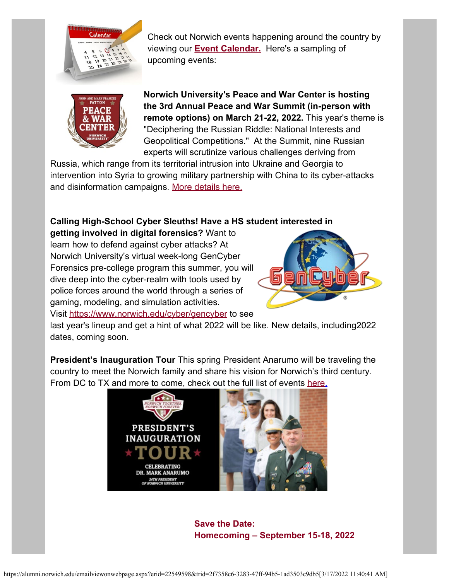

Check out Norwich events happening around the country by viewing our **[Event Calendar.](https://alumni.norwich.edu/Events?srctid=1&erid=22549598&trid=2f7358c6-3283-47ff-94b5-1ad3503c9db5)** Here's a sampling of upcoming events:



**Norwich University's Peace and War Center is hosting the 3rd Annual Peace and War Summit (in-person with remote options) on March 21-22, 2022.** This year's theme is "Deciphering the Russian Riddle: National Interests and Geopolitical Competitions." At the Summit, nine Russian experts will scrutinize various challenges deriving from

Russia, which range from its territorial intrusion into Ukraine and Georgia to intervention into Syria to growing military partnership with China to its cyber-attacks and disinformation campaigns. [More details here.](https://alumni.norwich.edu/page.redir?target=https%3a%2f%2fwww.norwich.edu%2fpawc%2fevents%2f3468-2022-peace-and-war-virtual-summit&srcid=158376&srctid=1&erid=22549598&trid=2f7358c6-3283-47ff-94b5-1ad3503c9db5)

### **Calling High-School Cyber Sleuths! Have a HS student interested in**

**getting involved in digital forensics?** Want to learn how to defend against cyber attacks? At Norwich University's virtual week-long GenCyber Forensics pre-college program this summer, you will dive deep into the cyber-realm with tools used by police forces around the world through a series of gaming, modeling, and simulation activities. Visit [https://www.norwich.edu/cyber/gencyber](https://alumni.norwich.edu/page.redir?target=https%3a%2f%2fwww.norwich.edu%2fcyber%2fgencyber&srcid=158376&srctid=1&erid=22549598&trid=2f7358c6-3283-47ff-94b5-1ad3503c9db5) to see



last year's lineup and get a hint of what 2022 will be like. New details, including2022 dates, coming soon.

**President's Inauguration Tour** This spring President Anarumo will be traveling the country to meet the Norwich family and share his vision for Norwich's third century. From DC to TX and more to come, check out the full list of events [here.](https://alumni.norwich.edu/page.redir?target=https%3a%2f%2falumni.norwich.edu%2finaugurationtour&srcid=158376&srctid=1&erid=22549598&trid=2f7358c6-3283-47ff-94b5-1ad3503c9db5)



**Save the Date: Homecoming – September 15-18, 2022**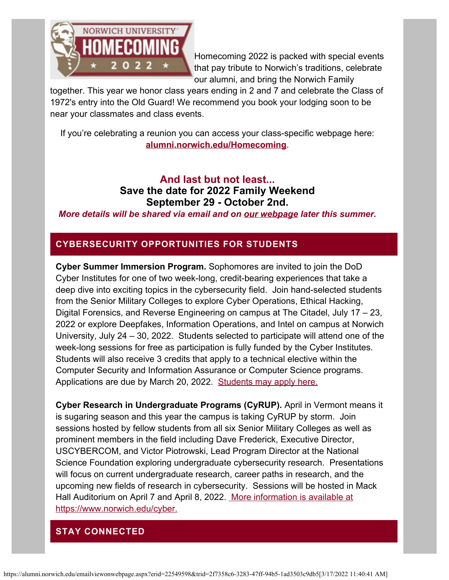

Homecoming 2022 is packed with special events that pay tribute to Norwich's traditions, celebrate our alumni, and bring the Norwich Family

together. This year we honor class years ending in 2 and 7 and celebrate the Class of 1972's entry into the Old Guard! We recommend you book your lodging soon to be near your classmates and class events.

If you're celebrating a reunion you can access your class-specific webpage here: **[alumni.norwich.edu/Homecoming](https://alumni.norwich.edu/Homecoming?srctid=1&erid=22549598&trid=2f7358c6-3283-47ff-94b5-1ad3503c9db5)**.

## **And last but not least... Save the date for 2022 Family Weekend September 29 - October 2nd.**

*More details will be shared via email and on [our webpage](https://alumni.norwich.edu/page.redir?target=https%3a%2f%2falumni.norwich.edu%2fNUfamilies&srcid=158376&srctid=1&erid=22549598&trid=2f7358c6-3283-47ff-94b5-1ad3503c9db5) later this summer.*

# **CYBERSECURITY OPPORTUNITIES FOR STUDENTS**

**Cyber Summer Immersion Program.** Sophomores are invited to join the DoD Cyber Institutes for one of two week-long, credit-bearing experiences that take a deep dive into exciting topics in the cybersecurity field. Join hand-selected students from the Senior Military Colleges to explore Cyber Operations, Ethical Hacking, Digital Forensics, and Reverse Engineering on campus at The Citadel, July 17 – 23, 2022 or explore Deepfakes, Information Operations, and Intel on campus at Norwich University, July 24 – 30, 2022. Students selected to participate will attend one of the week-long sessions for free as participation is fully funded by the Cyber Institutes. Students will also receive 3 credits that apply to a technical elective within the Computer Security and Information Assurance or Computer Science programs. Applications are due by March 20, 2022. [Students may apply here.](https://alumni.norwich.edu/page.redir?target=https%3a%2f%2ftinyurl.com%2f2xc4ff9z&srcid=158376&srctid=1&erid=22549598&trid=2f7358c6-3283-47ff-94b5-1ad3503c9db5)

**Cyber Research in Undergraduate Programs (CyRUP).** April in Vermont means it is sugaring season and this year the campus is taking CyRUP by storm. Join sessions hosted by fellow students from all six Senior Military Colleges as well as prominent members in the field including Dave Frederick, Executive Director, USCYBERCOM, and Victor Piotrowski, Lead Program Director at the National Science Foundation exploring undergraduate cybersecurity research. Presentations will focus on current undergraduate research, career paths in research, and the upcoming new fields of research in cybersecurity. Sessions will be hosted in Mack Hall Auditorium on April 7 and April 8, 2022. More information is available at [https://www.norwich.edu/cyber](https://alumni.norwich.edu/page.redir?target=https%3a%2f%2fwww.norwich.edu%2fcyber&srcid=158376&srctid=1&erid=22549598&trid=2f7358c6-3283-47ff-94b5-1ad3503c9db5).

## **STAY CONNECTED**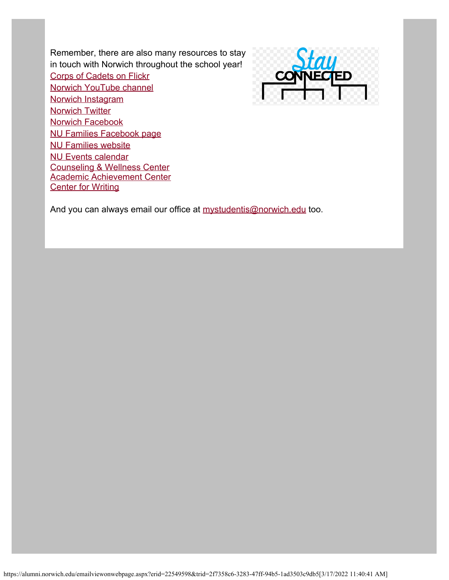Remember, there are also many resources to stay in touch with Norwich throughout the school year! [Corps of Cadets on Flickr](https://alumni.norwich.edu/page.redir?target=https%3a%2f%2fwww.flickr.com%2fphotos%2fnucorpsofcadets%2f&srcid=158376&srctid=1&erid=22549598&trid=2f7358c6-3283-47ff-94b5-1ad3503c9db5) [Norwich YouTube channel](https://alumni.norwich.edu/page.redir?target=https%3a%2f%2fwww.youtube.com%2fc%2fnorwichuniversity%2ffeatured&srcid=158376&srctid=1&erid=22549598&trid=2f7358c6-3283-47ff-94b5-1ad3503c9db5) [Norwich Instagram](https://alumni.norwich.edu/page.redir?target=https%3a%2f%2fwww.instagram.com%2fnorwichuniversity%2f%3fhl%3den&srcid=158376&srctid=1&erid=22549598&trid=2f7358c6-3283-47ff-94b5-1ad3503c9db5) Norwich [Twitter](https://alumni.norwich.edu/page.redir?target=https%3a%2f%2ftwitter.com%2fnorwichnews%3fref_src%3dtwsrc%255Egoogle%257Ctwcamp%255Eserp%257Ctwgr%255Eauthor&srcid=158376&srctid=1&erid=22549598&trid=2f7358c6-3283-47ff-94b5-1ad3503c9db5) Norwich [Facebook](https://alumni.norwich.edu/page.redir?target=https%3a%2f%2fwww.facebook.com%2fNorwichUniversity%2f&srcid=158376&srctid=1&erid=22549598&trid=2f7358c6-3283-47ff-94b5-1ad3503c9db5) [NU Families Facebook page](https://alumni.norwich.edu/page.redir?target=https%3a%2f%2fwww.facebook.com%2fNUFamilies&srcid=158376&srctid=1&erid=22549598&trid=2f7358c6-3283-47ff-94b5-1ad3503c9db5) [NU Families website](https://alumni.norwich.edu/page.redir?target=https%3a%2f%2falumni.norwich.edu%2fNUfamilies&srcid=158376&srctid=1&erid=22549598&trid=2f7358c6-3283-47ff-94b5-1ad3503c9db5) [NU Events calendar](https://alumni.norwich.edu/Events?srctid=1&erid=22549598&trid=2f7358c6-3283-47ff-94b5-1ad3503c9db5) [Counseling & Wellness Center](https://alumni.norwich.edu/page.redir?target=https%3a%2f%2fwww.norwich.edu%2fcounseling&srcid=158376&srctid=1&erid=22549598&trid=2f7358c6-3283-47ff-94b5-1ad3503c9db5) [Academic Achievement Center](https://alumni.norwich.edu/page.redir?target=https%3a%2f%2fwww.norwich.edu%2faac&srcid=158376&srctid=1&erid=22549598&trid=2f7358c6-3283-47ff-94b5-1ad3503c9db5) **[Center for Writing](https://alumni.norwich.edu/page.redir?target=https%3a%2f%2fwww.norwich.edu%2fwriting-center&srcid=158376&srctid=1&erid=22549598&trid=2f7358c6-3283-47ff-94b5-1ad3503c9db5)** 



And you can always email our office at [mystudentis@norwich.edu](mailto:mailto%20mystudentis@norwich.edu) too.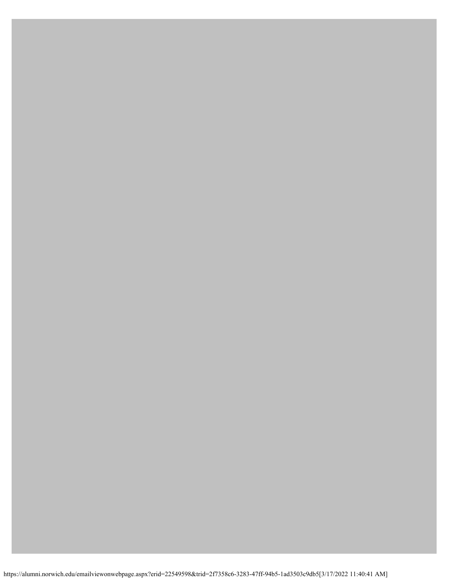https://alumni.norwich.edu/emailviewonwebpage.aspx?erid=22549598&trid=2f7358c6-3283-47ff-94b5-1ad3503c9db5[3/17/2022 11:40:41 AM]